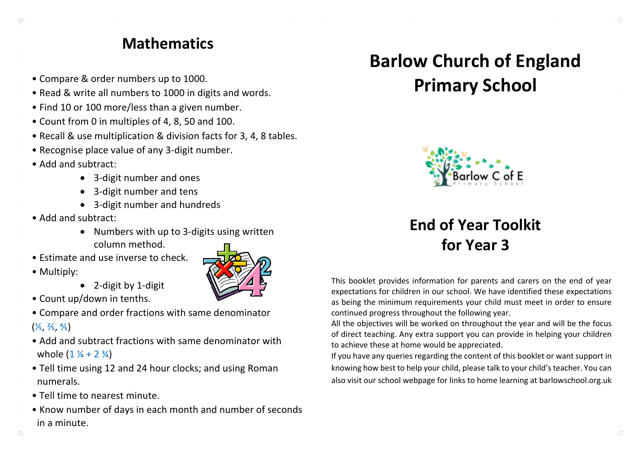#### **Mathematics**

- Compare & order numbers up to 1000.
- Read & write all numbers to 1000 in digits and words.
- Find 10 or 100 more/less than a given number.
- Count from 0 in multiples of 4, 8, 50 and 100.
- Recall & use multiplication & division facts for 3, 4, 8 tables.
- Recognise place value of any 3-digit number.
- Add and subtract:
	- 3-digit number and ones
	- 3-digit number and tens
	- 3-digit number and hundreds
- Add and subtract:
	- Numbers with up to 3-digits using written column method.
- Estimate and use inverse to check.
- Multiply:

 $\Box$ 

- 2-digit by 1-digit
- Count up/down in tenths.
- Compare and order fractions with same denominator  $(\frac{1}{5}, \frac{2}{5}, \frac{4}{5})$
- Add and subtract fractions with same denominator with whole  $(1 \frac{1}{4} + 2 \frac{3}{4})$
- Tell time using 12 and 24 hour clocks; and using Roman numerals.
- Tell time to nearest minute.
- Know number of days in each month and number of seconds in a minute.

# **Barlow Church of England Primary School**



# **End of Year Toolkit for Year 3**

This booklet provides information for parents and carers on the end of year expectations for children in our school. We have identified these expectations as being the minimum requirements your child must meet in order to ensure continued progress throughout the following year.

All the objectives will be worked on throughout the year and will be the focus of direct teaching. Any extra support you can provide in helping your children to achieve these at home would be appreciated.

If you have any queries regarding the content of this booklet or want support in knowing how best to help your child, please talk to your child's teacher. You can also visit our school webpage for links to home learning at barlowschool.org.uk